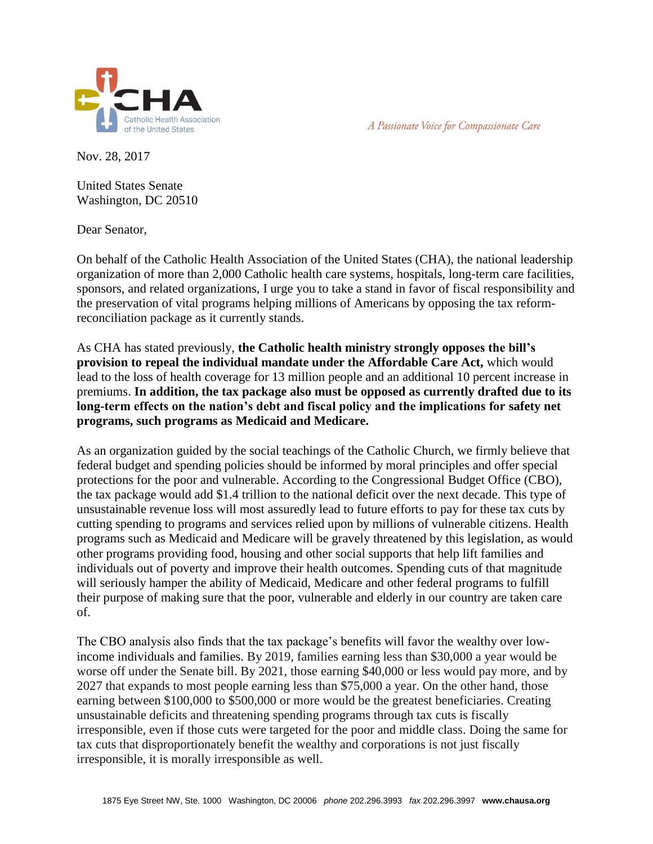A Passionate Voice for Compassionate Care



Nov. 28, 2017

United States Senate Washington, DC 20510

Dear Senator,

On behalf of the Catholic Health Association of the United States (CHA), the national leadership organization of more than 2,000 Catholic health care systems, hospitals, long-term care facilities, sponsors, and related organizations, I urge you to take a stand in favor of fiscal responsibility and the preservation of vital programs helping millions of Americans by opposing the tax reformreconciliation package as it currently stands.

As CHA has stated previously, **the Catholic health ministry strongly opposes the bill's provision to repeal the individual mandate under the Affordable Care Act,** which would lead to the loss of health coverage for 13 million people and an additional 10 percent increase in premiums. **In addition, the tax package also must be opposed as currently drafted due to its long-term effects on the nation's debt and fiscal policy and the implications for safety net programs, such programs as Medicaid and Medicare.** 

As an organization guided by the social teachings of the Catholic Church, we firmly believe that federal budget and spending policies should be informed by moral principles and offer special protections for the poor and vulnerable. According to the Congressional Budget Office (CBO), the tax package would add \$1.4 trillion to the national deficit over the next decade. This type of unsustainable revenue loss will most assuredly lead to future efforts to pay for these tax cuts by cutting spending to programs and services relied upon by millions of vulnerable citizens. Health programs such as Medicaid and Medicare will be gravely threatened by this legislation, as would other programs providing food, housing and other social supports that help lift families and individuals out of poverty and improve their health outcomes. Spending cuts of that magnitude will seriously hamper the ability of Medicaid, Medicare and other federal programs to fulfill their purpose of making sure that the poor, vulnerable and elderly in our country are taken care of.

The CBO analysis also finds that the tax package's benefits will favor the wealthy over lowincome individuals and families. By 2019, families earning less than \$30,000 a year would be worse off under the Senate bill. By 2021, those earning \$40,000 or less would pay more, and by 2027 that expands to most people earning less than \$75,000 a year. On the other hand, those earning between \$100,000 to \$500,000 or more would be the greatest beneficiaries. Creating unsustainable deficits and threatening spending programs through tax cuts is fiscally irresponsible, even if those cuts were targeted for the poor and middle class. Doing the same for tax cuts that disproportionately benefit the wealthy and corporations is not just fiscally irresponsible, it is morally irresponsible as well.